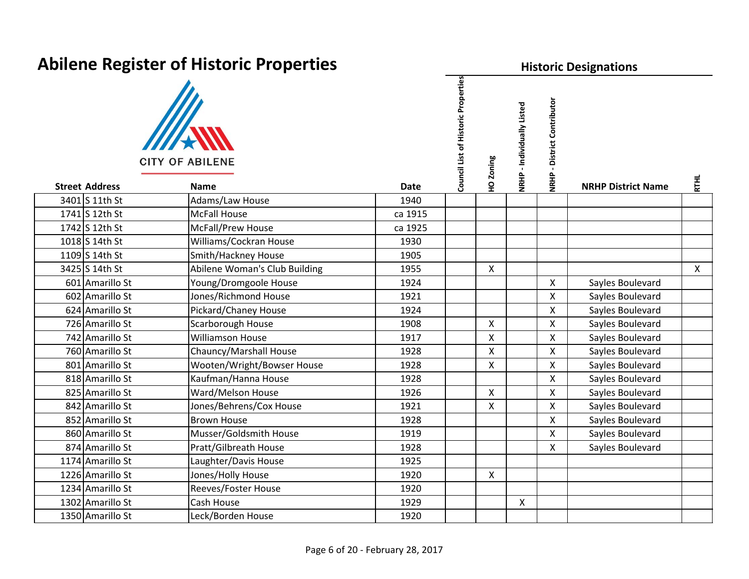| <b>Abilene Register of Historic Properties</b> |                                       |             |                                     |                | <b>Historic Designations</b> |                                       |                           |              |  |  |  |
|------------------------------------------------|---------------------------------------|-------------|-------------------------------------|----------------|------------------------------|---------------------------------------|---------------------------|--------------|--|--|--|
| <b>Street Address</b>                          | <b>CITY OF ABILENE</b><br><b>Name</b> | <b>Date</b> | Council List of Historic Properties | HO Zoning      | NRHP - Individually Listed   | - District Contributor<br><b>NRHP</b> | <b>NRHP District Name</b> | <b>RTHL</b>  |  |  |  |
| 3401 S 11th St                                 | Adams/Law House                       | 1940        |                                     |                |                              |                                       |                           |              |  |  |  |
| 1741 S 12th St                                 | <b>McFall House</b>                   | ca 1915     |                                     |                |                              |                                       |                           |              |  |  |  |
| 1742 S 12th St                                 | <b>McFall/Prew House</b>              | ca 1925     |                                     |                |                              |                                       |                           |              |  |  |  |
| 1018 S 14th St                                 | Williams/Cockran House                | 1930        |                                     |                |                              |                                       |                           |              |  |  |  |
| 1109 S 14th St                                 | Smith/Hackney House                   | 1905        |                                     |                |                              |                                       |                           |              |  |  |  |
| 3425 S 14th St                                 | Abilene Woman's Club Building         | 1955        |                                     | X              |                              |                                       |                           | $\mathsf{X}$ |  |  |  |
| 601 Amarillo St                                | Young/Dromgoole House                 | 1924        |                                     |                |                              | $\mathsf{X}$                          | Sayles Boulevard          |              |  |  |  |
| 602 Amarillo St                                | Jones/Richmond House                  | 1921        |                                     |                |                              | $\mathsf{X}$                          | Sayles Boulevard          |              |  |  |  |
| 624 Amarillo St                                | Pickard/Chaney House                  | 1924        |                                     |                |                              | $\mathsf{X}$                          | Sayles Boulevard          |              |  |  |  |
| 726 Amarillo St                                | Scarborough House                     | 1908        |                                     | $\mathsf{x}$   |                              | $\mathsf{X}$                          | Sayles Boulevard          |              |  |  |  |
| 742 Amarillo St                                | <b>Williamson House</b>               | 1917        |                                     | X              |                              | $\mathsf{X}$                          | Sayles Boulevard          |              |  |  |  |
| 760 Amarillo St                                | Chauncy/Marshall House                | 1928        |                                     | X              |                              | $\mathsf{X}$                          | Sayles Boulevard          |              |  |  |  |
| 801 Amarillo St                                | Wooten/Wright/Bowser House            | 1928        |                                     | X              |                              | $\mathsf{X}$                          | Sayles Boulevard          |              |  |  |  |
| 818 Amarillo St                                | Kaufman/Hanna House                   | 1928        |                                     |                |                              | $\mathsf{X}$                          | Sayles Boulevard          |              |  |  |  |
| 825 Amarillo St                                | Ward/Melson House                     | 1926        |                                     | $\pmb{\times}$ |                              | X                                     | Sayles Boulevard          |              |  |  |  |
| 842 Amarillo St                                | Jones/Behrens/Cox House               | 1921        |                                     | X              |                              | $\mathsf{X}$                          | Sayles Boulevard          |              |  |  |  |
| 852 Amarillo St                                | <b>Brown House</b>                    | 1928        |                                     |                |                              | $\mathsf{X}$                          | Sayles Boulevard          |              |  |  |  |
| 860 Amarillo St                                | Musser/Goldsmith House                | 1919        |                                     |                |                              | $\mathsf{X}$                          | Sayles Boulevard          |              |  |  |  |
| 874 Amarillo St                                | Pratt/Gilbreath House                 | 1928        |                                     |                |                              | $\mathsf{X}$                          | Sayles Boulevard          |              |  |  |  |
| 1174 Amarillo St                               | Laughter/Davis House                  | 1925        |                                     |                |                              |                                       |                           |              |  |  |  |
| 1226 Amarillo St                               | Jones/Holly House                     | 1920        |                                     | X              |                              |                                       |                           |              |  |  |  |
| 1234 Amarillo St                               | Reeves/Foster House                   | 1920        |                                     |                |                              |                                       |                           |              |  |  |  |
| 1302 Amarillo St                               | Cash House                            | 1929        |                                     |                | $\mathsf{X}$                 |                                       |                           |              |  |  |  |
| 1350 Amarillo St                               | Leck/Borden House                     | 1920        |                                     |                |                              |                                       |                           |              |  |  |  |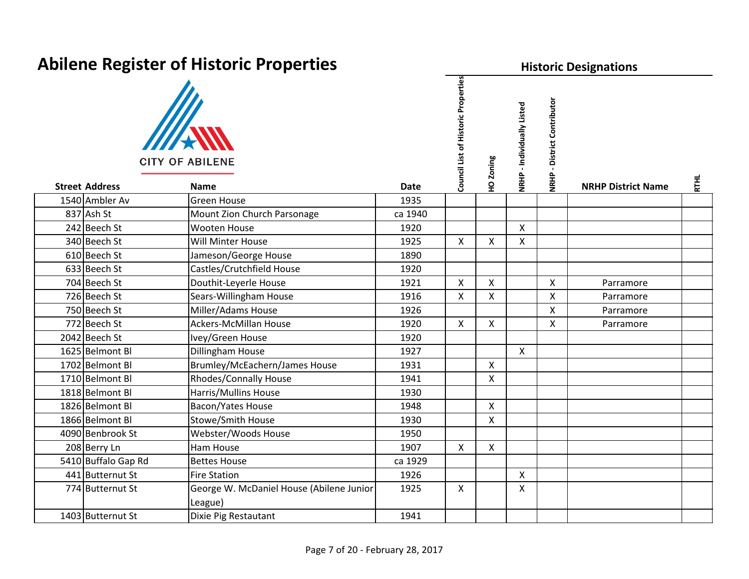| <b>Abilene Register of Historic Properties</b> |                                                     |             |                                     |                | <b>Historic Designations</b> |                                       |                           |             |  |  |  |
|------------------------------------------------|-----------------------------------------------------|-------------|-------------------------------------|----------------|------------------------------|---------------------------------------|---------------------------|-------------|--|--|--|
| <b>Street Address</b>                          | <b>CITY OF ABILENE</b><br><b>Name</b>               | <b>Date</b> | Council List of Historic Properties | HO Zoning      | NRHP - Individually Listed   | - District Contributor<br><b>NRHP</b> |                           | <b>RTHL</b> |  |  |  |
| 1540 Ambler Av                                 | <b>Green House</b>                                  | 1935        |                                     |                |                              |                                       | <b>NRHP District Name</b> |             |  |  |  |
| 837 Ash St                                     | Mount Zion Church Parsonage                         | ca 1940     |                                     |                |                              |                                       |                           |             |  |  |  |
| 242 Beech St                                   | Wooten House                                        | 1920        |                                     |                | $\mathsf{X}$                 |                                       |                           |             |  |  |  |
| 340 Beech St                                   | Will Minter House                                   | 1925        | $\mathsf{X}$                        | X              | X                            |                                       |                           |             |  |  |  |
| 610 Beech St                                   | Jameson/George House                                | 1890        |                                     |                |                              |                                       |                           |             |  |  |  |
| 633 Beech St                                   | Castles/Crutchfield House                           | 1920        |                                     |                |                              |                                       |                           |             |  |  |  |
| 704 Beech St                                   | Douthit-Leyerle House                               | 1921        | $\mathsf{X}$                        | X              |                              | $\mathsf{X}$                          | Parramore                 |             |  |  |  |
| 726 Beech St                                   | Sears-Willingham House                              | 1916        | $\mathsf{X}$                        | X              |                              | $\pmb{\times}$                        | Parramore                 |             |  |  |  |
| 750 Beech St                                   | Miller/Adams House                                  | 1926        |                                     |                |                              | $\mathsf{X}$                          | Parramore                 |             |  |  |  |
| 772 Beech St                                   | <b>Ackers-McMillan House</b>                        | 1920        | $\mathsf{X}$                        | X              |                              | $\mathsf{X}$                          | Parramore                 |             |  |  |  |
| 2042 Beech St                                  | Ivey/Green House                                    | 1920        |                                     |                |                              |                                       |                           |             |  |  |  |
| 1625 Belmont BI                                | Dillingham House                                    | 1927        |                                     |                | $\mathsf{X}$                 |                                       |                           |             |  |  |  |
| 1702 Belmont BI                                | Brumley/McEachern/James House                       | 1931        |                                     | X              |                              |                                       |                           |             |  |  |  |
| 1710 Belmont BI                                | <b>Rhodes/Connally House</b>                        | 1941        |                                     | X              |                              |                                       |                           |             |  |  |  |
| 1818 Belmont BI                                | Harris/Mullins House                                | 1930        |                                     |                |                              |                                       |                           |             |  |  |  |
| 1826 Belmont Bl                                | <b>Bacon/Yates House</b>                            | 1948        |                                     | $\pmb{\times}$ |                              |                                       |                           |             |  |  |  |
| 1866 Belmont Bl                                | Stowe/Smith House                                   | 1930        |                                     | X              |                              |                                       |                           |             |  |  |  |
| 4090 Benbrook St                               | Webster/Woods House                                 | 1950        |                                     |                |                              |                                       |                           |             |  |  |  |
| 208 Berry Ln                                   | Ham House                                           | 1907        | $\mathsf{X}$                        | X              |                              |                                       |                           |             |  |  |  |
| 5410 Buffalo Gap Rd                            | <b>Bettes House</b>                                 | ca 1929     |                                     |                |                              |                                       |                           |             |  |  |  |
| 441 Butternut St                               | <b>Fire Station</b>                                 | 1926        |                                     |                | $\boldsymbol{\mathsf{X}}$    |                                       |                           |             |  |  |  |
| 774 Butternut St                               | George W. McDaniel House (Abilene Junior<br>League) | 1925        | $\mathsf{X}$                        |                | $\mathsf{X}$                 |                                       |                           |             |  |  |  |
| 1403 Butternut St                              | Dixie Pig Restautant                                | 1941        |                                     |                |                              |                                       |                           |             |  |  |  |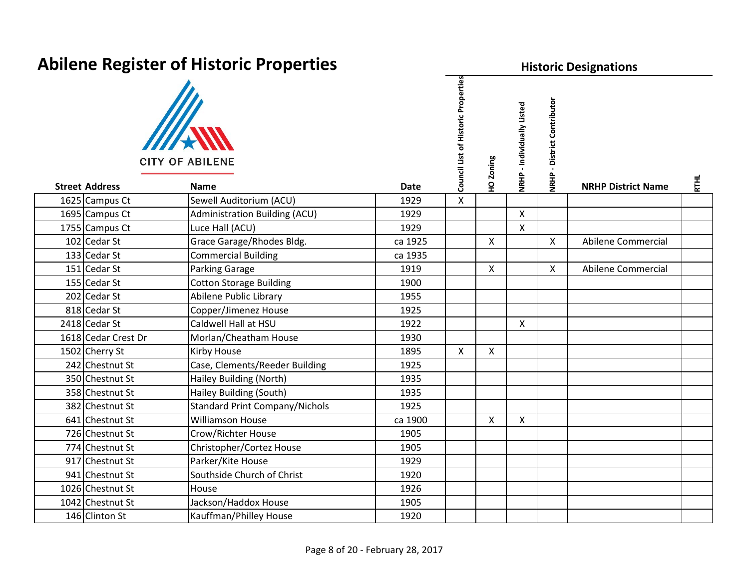**Historic Designations**

| <b>CITY OF ABILENE</b> |
|------------------------|

| <b>Street Address</b> | <b>CITY OF ABILENE</b><br><b>Name</b> | <b>Date</b> | Council List of Historic Properties | HO Zoning          | NRHP - Individually Listed | - District Contributor<br><b>NRHP</b> | <b>NRHP District Name</b> | <b>RTHL</b> |
|-----------------------|---------------------------------------|-------------|-------------------------------------|--------------------|----------------------------|---------------------------------------|---------------------------|-------------|
| 1625 Campus Ct        | Sewell Auditorium (ACU)               | 1929        | X                                   |                    |                            |                                       |                           |             |
| 1695 Campus Ct        | Administration Building (ACU)         | 1929        |                                     |                    | $\mathsf{X}$               |                                       |                           |             |
| 1755 Campus Ct        | Luce Hall (ACU)                       | 1929        |                                     |                    | $\pmb{\mathsf{X}}$         |                                       |                           |             |
| 102 Cedar St          | Grace Garage/Rhodes Bldg.             | ca 1925     |                                     | X                  |                            | X                                     | Abilene Commercial        |             |
| 133 Cedar St          | <b>Commercial Building</b>            | ca 1935     |                                     |                    |                            |                                       |                           |             |
| 151 Cedar St          | Parking Garage                        | 1919        |                                     | $\pmb{\mathsf{X}}$ |                            | Χ                                     | Abilene Commercial        |             |
| 155 Cedar St          | <b>Cotton Storage Building</b>        | 1900        |                                     |                    |                            |                                       |                           |             |
| 202 Cedar St          | Abilene Public Library                | 1955        |                                     |                    |                            |                                       |                           |             |
| 818 Cedar St          | Copper/Jimenez House                  | 1925        |                                     |                    |                            |                                       |                           |             |
| 2418 Cedar St         | Caldwell Hall at HSU                  | 1922        |                                     |                    | $\mathsf{X}$               |                                       |                           |             |
| 1618 Cedar Crest Dr   | Morlan/Cheatham House                 | 1930        |                                     |                    |                            |                                       |                           |             |
| 1502 Cherry St        | Kirby House                           | 1895        | X                                   | X                  |                            |                                       |                           |             |
| 242 Chestnut St       | Case, Clements/Reeder Building        | 1925        |                                     |                    |                            |                                       |                           |             |
| 350 Chestnut St       | Hailey Building (North)               | 1935        |                                     |                    |                            |                                       |                           |             |
| 358 Chestnut St       | Hailey Building (South)               | 1935        |                                     |                    |                            |                                       |                           |             |
| 382 Chestnut St       | <b>Standard Print Company/Nichols</b> | 1925        |                                     |                    |                            |                                       |                           |             |
| 641 Chestnut St       | <b>Williamson House</b>               | ca 1900     |                                     | X                  | $\pmb{\times}$             |                                       |                           |             |
| 726 Chestnut St       | Crow/Richter House                    | 1905        |                                     |                    |                            |                                       |                           |             |
| 774 Chestnut St       | Christopher/Cortez House              | 1905        |                                     |                    |                            |                                       |                           |             |
| 917 Chestnut St       | Parker/Kite House                     | 1929        |                                     |                    |                            |                                       |                           |             |
| 941 Chestnut St       | Southside Church of Christ            | 1920        |                                     |                    |                            |                                       |                           |             |
| 1026 Chestnut St      | House                                 | 1926        |                                     |                    |                            |                                       |                           |             |
| 1042 Chestnut St      | Jackson/Haddox House                  | 1905        |                                     |                    |                            |                                       |                           |             |
| 146 Clinton St        | Kauffman/Philley House                | 1920        |                                     |                    |                            |                                       |                           |             |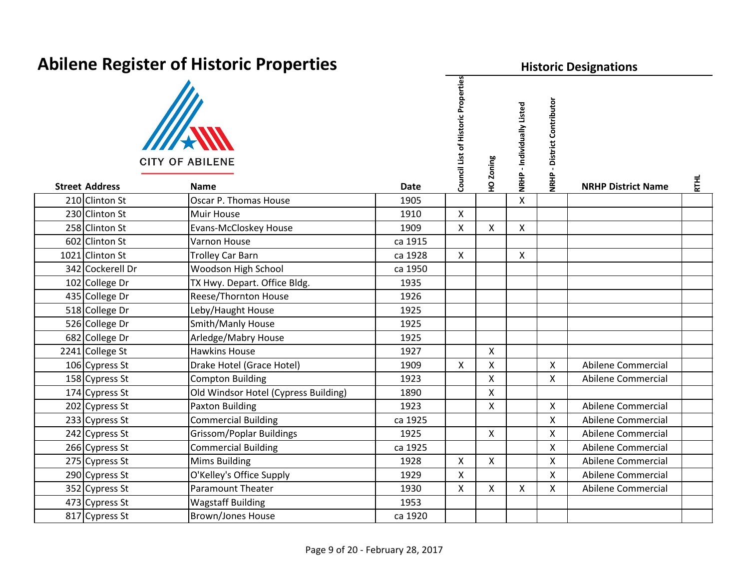| <b>Abilene Register of Historic Properties</b>          |                                      |             |                                     |                           | <b>Historic Designations</b> |                                       |                           |             |  |  |  |
|---------------------------------------------------------|--------------------------------------|-------------|-------------------------------------|---------------------------|------------------------------|---------------------------------------|---------------------------|-------------|--|--|--|
| <b>CITY OF ABILENE</b><br><b>Street Address</b><br>Name |                                      |             | Council List of Historic Properties | HO Zoning                 | NRHP - Individually Listed   | - District Contributor<br><b>NRHP</b> |                           |             |  |  |  |
|                                                         |                                      | <b>Date</b> |                                     |                           |                              |                                       | <b>NRHP District Name</b> | <b>RTHL</b> |  |  |  |
| 210 Clinton St                                          | Oscar P. Thomas House                | 1905        |                                     |                           | Χ                            |                                       |                           |             |  |  |  |
| 230 Clinton St                                          | <b>Muir House</b>                    | 1910        | $\mathsf{X}$                        |                           |                              |                                       |                           |             |  |  |  |
| 258 Clinton St                                          | Evans-McCloskey House                | 1909        | $\mathsf{X}$                        | X                         | X                            |                                       |                           |             |  |  |  |
| 602 Clinton St                                          | Varnon House                         | ca 1915     |                                     |                           |                              |                                       |                           |             |  |  |  |
| 1021 Clinton St                                         | <b>Trolley Car Barn</b>              | ca 1928     | $\mathsf{X}$                        |                           | $\pmb{\times}$               |                                       |                           |             |  |  |  |
| 342 Cockerell Dr                                        | Woodson High School                  | ca 1950     |                                     |                           |                              |                                       |                           |             |  |  |  |
| 102 College Dr                                          | TX Hwy. Depart. Office Bldg.         | 1935        |                                     |                           |                              |                                       |                           |             |  |  |  |
| 435 College Dr                                          | Reese/Thornton House                 | 1926        |                                     |                           |                              |                                       |                           |             |  |  |  |
| 518 College Dr                                          | Leby/Haught House                    | 1925        |                                     |                           |                              |                                       |                           |             |  |  |  |
| 526 College Dr                                          | Smith/Manly House                    | 1925        |                                     |                           |                              |                                       |                           |             |  |  |  |
| 682 College Dr                                          | Arledge/Mabry House                  | 1925        |                                     |                           |                              |                                       |                           |             |  |  |  |
| 2241 College St                                         | <b>Hawkins House</b>                 | 1927        |                                     | $\boldsymbol{\mathsf{X}}$ |                              |                                       |                           |             |  |  |  |
| 106 Cypress St                                          | Drake Hotel (Grace Hotel)            | 1909        | $\mathsf{X}$                        | X                         |                              | $\mathsf{X}$                          | Abilene Commercial        |             |  |  |  |
| 158 Cypress St                                          | <b>Compton Building</b>              | 1923        |                                     | X                         |                              | $\mathsf{X}$                          | Abilene Commercial        |             |  |  |  |
| 174 Cypress St                                          | Old Windsor Hotel (Cypress Building) | 1890        |                                     | X                         |                              |                                       |                           |             |  |  |  |
| 202 Cypress St                                          | <b>Paxton Building</b>               | 1923        |                                     | X                         |                              | $\mathsf{X}$                          | Abilene Commercial        |             |  |  |  |
| 233 Cypress St                                          | <b>Commercial Building</b>           | ca 1925     |                                     |                           |                              | $\mathsf{X}$                          | Abilene Commercial        |             |  |  |  |
| 242 Cypress St                                          | <b>Grissom/Poplar Buildings</b>      | 1925        |                                     | X                         |                              | $\mathsf{X}$                          | Abilene Commercial        |             |  |  |  |
| 266 Cypress St                                          | <b>Commercial Building</b>           | ca 1925     |                                     |                           |                              | $\mathsf{X}$                          | Abilene Commercial        |             |  |  |  |
| 275 Cypress St                                          | <b>Mims Building</b>                 | 1928        | $\mathsf{X}$                        | X                         |                              | $\mathsf{X}$                          | Abilene Commercial        |             |  |  |  |
| 290 Cypress St                                          | O'Kelley's Office Supply             | 1929        | $\pmb{\times}$                      |                           |                              | $\mathsf{X}$                          | Abilene Commercial        |             |  |  |  |
| 352 Cypress St                                          | <b>Paramount Theater</b>             | 1930        | $\mathsf{X}$                        | X                         | X                            | X                                     | Abilene Commercial        |             |  |  |  |
| 473 Cypress St                                          | <b>Wagstaff Building</b>             | 1953        |                                     |                           |                              |                                       |                           |             |  |  |  |
| 817 Cypress St                                          | <b>Brown/Jones House</b>             | ca 1920     |                                     |                           |                              |                                       |                           |             |  |  |  |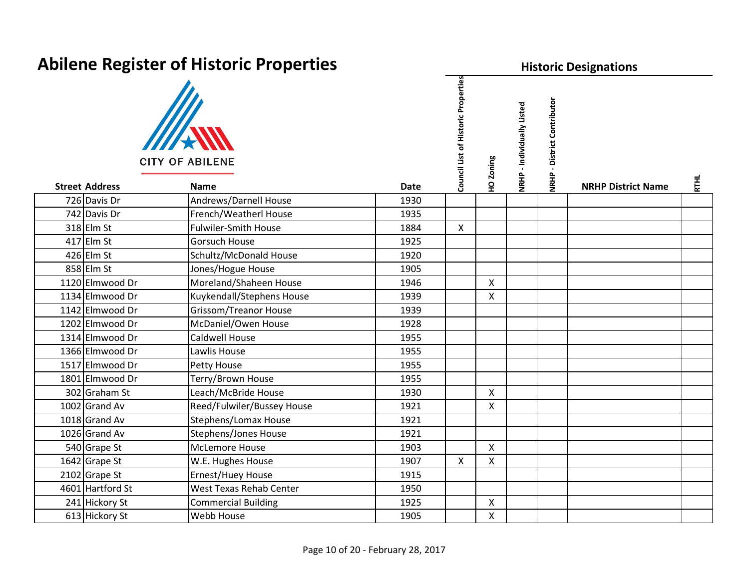| <b>ADIIERE REGISTER OF HISTORIC PROPERTIES</b> |                                       |             |                                     |                | <b>Historic Designations</b> |                                     |                           |             |  |  |  |  |
|------------------------------------------------|---------------------------------------|-------------|-------------------------------------|----------------|------------------------------|-------------------------------------|---------------------------|-------------|--|--|--|--|
| <b>Street Address</b>                          | <b>CITY OF ABILENE</b><br><b>Name</b> | <b>Date</b> | Council List of Historic Properties | HO Zoning      | NRHP - Individually Listed   | District Contributor<br><b>NRHP</b> | <b>NRHP District Name</b> | <b>RTHL</b> |  |  |  |  |
| 726 Davis Dr                                   | Andrews/Darnell House                 | 1930        |                                     |                |                              |                                     |                           |             |  |  |  |  |
| 742 Davis Dr                                   | French/Weatherl House                 | 1935        |                                     |                |                              |                                     |                           |             |  |  |  |  |
| $318$ Elm St                                   | <b>Fulwiler-Smith House</b>           | 1884        | $\mathsf{X}$                        |                |                              |                                     |                           |             |  |  |  |  |
| $417$ Elm St                                   | <b>Gorsuch House</b>                  | 1925        |                                     |                |                              |                                     |                           |             |  |  |  |  |
| $426$ Elm St                                   | Schultz/McDonald House                | 1920        |                                     |                |                              |                                     |                           |             |  |  |  |  |
| $858$ Elm St                                   | Jones/Hogue House                     | 1905        |                                     |                |                              |                                     |                           |             |  |  |  |  |
| 1120 Elmwood Dr                                | Moreland/Shaheen House                | 1946        |                                     | $\mathsf{X}$   |                              |                                     |                           |             |  |  |  |  |
| 1134 Elmwood Dr                                | Kuykendall/Stephens House             | 1939        |                                     | X              |                              |                                     |                           |             |  |  |  |  |
| 1142 Elmwood Dr                                | Grissom/Treanor House                 | 1939        |                                     |                |                              |                                     |                           |             |  |  |  |  |
| 1202 Elmwood Dr                                | McDaniel/Owen House                   | 1928        |                                     |                |                              |                                     |                           |             |  |  |  |  |
| 1314 Elmwood Dr                                | <b>Caldwell House</b>                 | 1955        |                                     |                |                              |                                     |                           |             |  |  |  |  |
| 1366 Elmwood Dr                                | Lawlis House                          | 1955        |                                     |                |                              |                                     |                           |             |  |  |  |  |
| 1517 Elmwood Dr                                | Petty House                           | 1955        |                                     |                |                              |                                     |                           |             |  |  |  |  |
| 1801 Elmwood Dr                                | Terry/Brown House                     | 1955        |                                     |                |                              |                                     |                           |             |  |  |  |  |
| 302 Graham St                                  | Leach/McBride House                   | 1930        |                                     | $\mathsf{X}$   |                              |                                     |                           |             |  |  |  |  |
| 1002 Grand Av                                  | Reed/Fulwiler/Bussey House            | 1921        |                                     | $\mathsf{X}$   |                              |                                     |                           |             |  |  |  |  |
| 1018 Grand Av                                  | <b>Stephens/Lomax House</b>           | 1921        |                                     |                |                              |                                     |                           |             |  |  |  |  |
| 1026 Grand Av                                  | <b>Stephens/Jones House</b>           | 1921        |                                     |                |                              |                                     |                           |             |  |  |  |  |
| 540 Grape St                                   | McLemore House                        | 1903        |                                     | $\mathsf{X}$   |                              |                                     |                           |             |  |  |  |  |
| 1642 Grape St                                  | W.E. Hughes House                     | 1907        | $\mathsf{X}$                        | $\mathsf{X}$   |                              |                                     |                           |             |  |  |  |  |
| 2102 Grape St                                  | Ernest/Huey House                     | 1915        |                                     |                |                              |                                     |                           |             |  |  |  |  |
| 4601 Hartford St                               | <b>West Texas Rehab Center</b>        | 1950        |                                     |                |                              |                                     |                           |             |  |  |  |  |
| 241 Hickory St                                 | <b>Commercial Building</b>            | 1925        |                                     | $\pmb{\times}$ |                              |                                     |                           |             |  |  |  |  |
| 613 Hickory St                                 | Webb House                            | 1905        |                                     | $\mathsf{X}$   |                              |                                     |                           |             |  |  |  |  |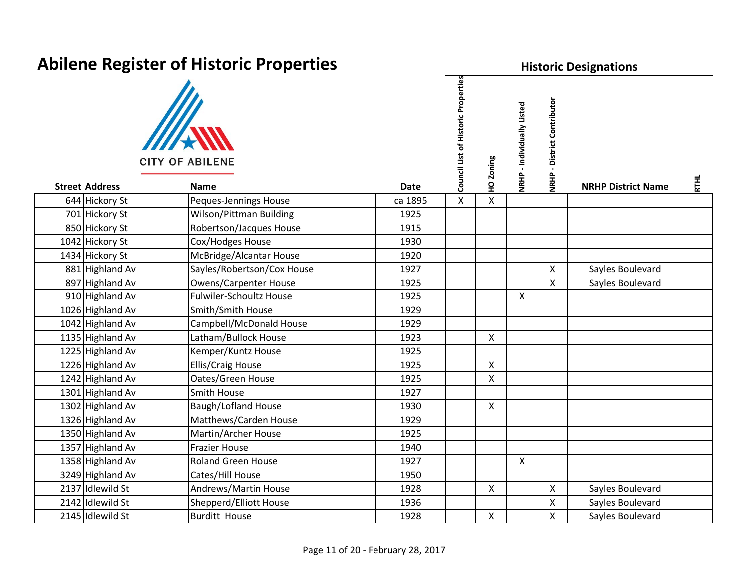| AMINING INGENICI OF HISLOTIC FTOPCHILS | <b>FISLUTIC DESIGNATIONS</b>          |             |                                        |              |                            |                                       |                           |             |
|----------------------------------------|---------------------------------------|-------------|----------------------------------------|--------------|----------------------------|---------------------------------------|---------------------------|-------------|
| <b>Street Address</b>                  | <b>CITY OF ABILENE</b><br><b>Name</b> | <b>Date</b> | of Historic Properties<br>Council List | HO Zoning    | NRHP - Individually Listed | - District Contributor<br><b>NRHP</b> | <b>NRHP District Name</b> | <b>RTHL</b> |
| 644 Hickory St                         | Peques-Jennings House                 | ca 1895     | X                                      | $\mathsf{X}$ |                            |                                       |                           |             |
| 701 Hickory St                         | Wilson/Pittman Building               | 1925        |                                        |              |                            |                                       |                           |             |
| 850 Hickory St                         | Robertson/Jacques House               | 1915        |                                        |              |                            |                                       |                           |             |
| 1042 Hickory St                        | Cox/Hodges House                      | 1930        |                                        |              |                            |                                       |                           |             |
| 1434 Hickory St                        | McBridge/Alcantar House               | 1920        |                                        |              |                            |                                       |                           |             |
| 881 Highland Av                        | Sayles/Robertson/Cox House            | 1927        |                                        |              |                            | $\boldsymbol{\mathsf{X}}$             | Sayles Boulevard          |             |
| 897 Highland Av                        | <b>Owens/Carpenter House</b>          | 1925        |                                        |              |                            | $\mathsf{X}$                          | Sayles Boulevard          |             |
| 910 Highland Av                        | <b>Fulwiler-Schoultz House</b>        | 1925        | $\mathsf{X}$                           |              | $\mathsf{X}$               |                                       |                           |             |
| 1026 Highland Av                       | Smith/Smith House                     | 1929        |                                        |              |                            |                                       |                           |             |
| 1042 Highland Av                       | Campbell/McDonald House               | 1929        |                                        |              |                            |                                       |                           |             |
| 1135 Highland Av                       | Latham/Bullock House                  | 1923        |                                        | X            |                            |                                       |                           |             |
| 1225 Highland Av                       | Kemper/Kuntz House                    | 1925        |                                        |              |                            |                                       |                           |             |
| 1226 Highland Av                       | Ellis/Craig House                     | 1925        |                                        | $\mathsf{X}$ |                            |                                       |                           |             |
| 1242 Highland Av                       | Oates/Green House                     | 1925        |                                        | X            |                            |                                       |                           |             |
| 1301 Highland Av                       | <b>Smith House</b>                    | 1927        |                                        |              |                            |                                       |                           |             |
| 1302 Highland Av                       | <b>Baugh/Lofland House</b>            | 1930        |                                        | X            |                            |                                       |                           |             |
| 1326 Highland Av                       | Matthews/Carden House                 | 1929        |                                        |              |                            |                                       |                           |             |
| 1350 Highland Av                       | <b>Martin/Archer House</b>            | 1925        |                                        |              |                            |                                       |                           |             |
| 1357 Highland Av                       | <b>Frazier House</b>                  | 1940        |                                        |              |                            |                                       |                           |             |
| 1358 Highland Av                       | <b>Roland Green House</b>             | 1927        |                                        |              | $\mathsf{X}$               |                                       |                           |             |
| 3249 Highland Av                       | Cates/Hill House                      | 1950        |                                        |              |                            |                                       |                           |             |
| 2137 Idlewild St                       | Andrews/Martin House                  | 1928        |                                        | $\mathsf{X}$ |                            | $\mathsf{X}$                          | Sayles Boulevard          |             |
| 2142 Idlewild St                       | Shepperd/Elliott House                | 1936        |                                        |              |                            | $\mathsf{X}$                          | Sayles Boulevard          |             |
| 2145 Idlewild St                       | <b>Burditt House</b>                  | 1928        |                                        | X            |                            | X                                     | Sayles Boulevard          |             |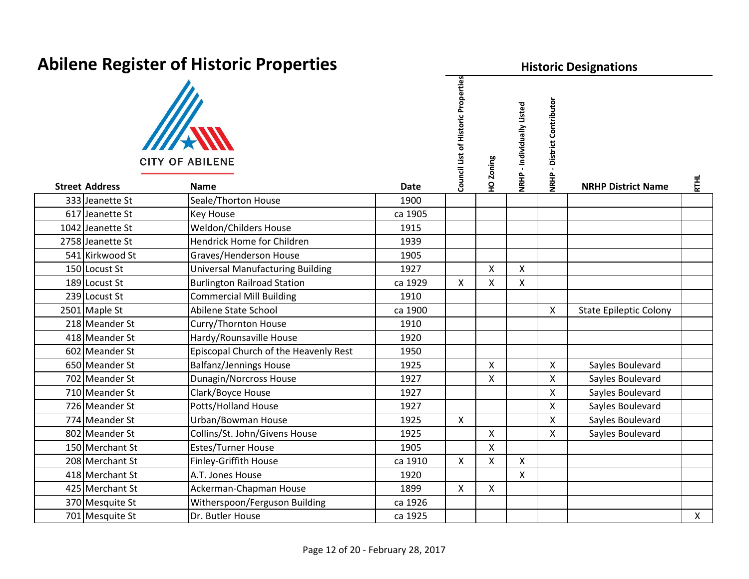| ADJICITE RESISTER OF HISTORIC FIOPERIES |                                         |             |                                     |                    | <b>HISTOFIC Designations</b>   |                                       |                               |              |  |  |  |  |
|-----------------------------------------|-----------------------------------------|-------------|-------------------------------------|--------------------|--------------------------------|---------------------------------------|-------------------------------|--------------|--|--|--|--|
| <b>Street Address</b>                   | <b>CITY OF ABILENE</b><br>Name          | <b>Date</b> | Council List of Historic Properties | HO Zoning          | - Individually Listed<br>NRHP. | - District Contributor<br><b>NRHP</b> | <b>NRHP District Name</b>     | <b>RTHL</b>  |  |  |  |  |
| 333 Jeanette St                         | Seale/Thorton House                     | 1900        |                                     |                    |                                |                                       |                               |              |  |  |  |  |
| 617 Jeanette St                         | Key House                               | ca 1905     |                                     |                    |                                |                                       |                               |              |  |  |  |  |
| 1042 Jeanette St                        | Weldon/Childers House                   | 1915        |                                     |                    |                                |                                       |                               |              |  |  |  |  |
| 2758 Jeanette St                        | Hendrick Home for Children              | 1939        |                                     |                    |                                |                                       |                               |              |  |  |  |  |
| 541 Kirkwood St                         | Graves/Henderson House                  | 1905        |                                     |                    |                                |                                       |                               |              |  |  |  |  |
| 150 Locust St                           | <b>Universal Manufacturing Building</b> | 1927        |                                     | X                  | $\mathsf{X}$                   |                                       |                               |              |  |  |  |  |
| 189 Locust St                           | <b>Burlington Railroad Station</b>      | ca 1929     | $\mathsf{X}$                        | X                  | $\mathsf{X}$                   |                                       |                               |              |  |  |  |  |
| 239 Locust St                           | <b>Commercial Mill Building</b>         | 1910        |                                     |                    |                                |                                       |                               |              |  |  |  |  |
| 2501 Maple St                           | Abilene State School                    | ca 1900     |                                     |                    |                                | $\mathsf{X}$                          | <b>State Epileptic Colony</b> |              |  |  |  |  |
| 218 Meander St                          | Curry/Thornton House                    | 1910        |                                     |                    |                                |                                       |                               |              |  |  |  |  |
| 418 Meander St                          | Hardy/Rounsaville House                 | 1920        |                                     |                    |                                |                                       |                               |              |  |  |  |  |
| 602 Meander St                          | Episcopal Church of the Heavenly Rest   | 1950        |                                     |                    |                                |                                       |                               |              |  |  |  |  |
| 650 Meander St                          | <b>Balfanz/Jennings House</b>           | 1925        |                                     | $\mathsf{x}$       |                                | $\mathsf{X}$                          | Sayles Boulevard              |              |  |  |  |  |
| 702 Meander St                          | <b>Dunagin/Norcross House</b>           | 1927        |                                     | X                  |                                | X                                     | Sayles Boulevard              |              |  |  |  |  |
| 710 Meander St                          | Clark/Boyce House                       | 1927        |                                     |                    |                                | $\mathsf{X}$                          | Sayles Boulevard              |              |  |  |  |  |
| 726 Meander St                          | Potts/Holland House                     | 1927        |                                     |                    |                                | $\mathsf{X}$                          | Sayles Boulevard              |              |  |  |  |  |
| 774 Meander St                          | Urban/Bowman House                      | 1925        | $\mathsf{X}$                        |                    |                                | X                                     | Sayles Boulevard              |              |  |  |  |  |
| 802 Meander St                          | Collins/St. John/Givens House           | 1925        |                                     | X                  |                                | $\mathsf{X}$                          | Sayles Boulevard              |              |  |  |  |  |
| 150 Merchant St                         | <b>Estes/Turner House</b>               | 1905        |                                     | X                  |                                |                                       |                               |              |  |  |  |  |
| 208 Merchant St                         | Finley-Griffith House                   | ca 1910     | $\mathsf{X}$                        | $\pmb{\mathsf{X}}$ | X                              |                                       |                               |              |  |  |  |  |
| 418 Merchant St                         | A.T. Jones House                        | 1920        |                                     |                    | $\mathsf{X}$                   |                                       |                               |              |  |  |  |  |
| 425 Merchant St                         | Ackerman-Chapman House                  | 1899        | $\mathsf{X}$                        | $\mathsf{X}$       |                                |                                       |                               |              |  |  |  |  |
| 370 Mesquite St                         | Witherspoon/Ferguson Building           | ca 1926     |                                     |                    |                                |                                       |                               |              |  |  |  |  |
| 701 Mesquite St                         | Dr. Butler House                        | ca 1925     |                                     |                    |                                |                                       |                               | $\mathsf{X}$ |  |  |  |  |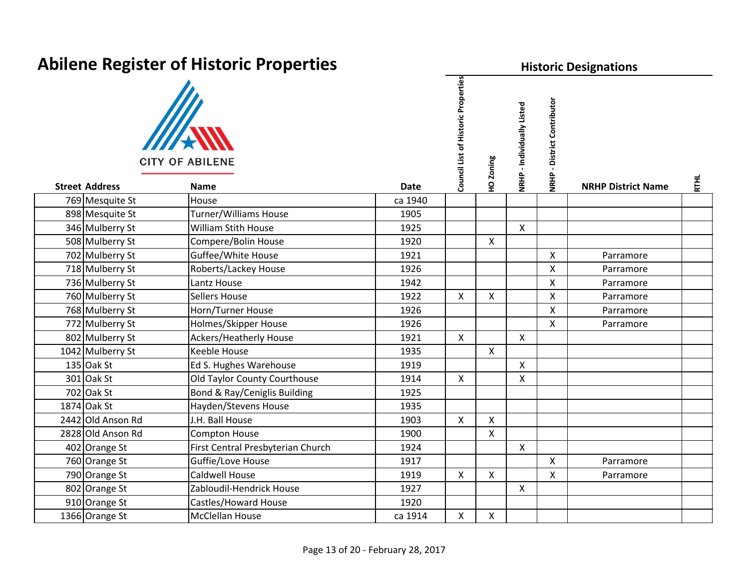| <b>Abilene Register of Historic Properties</b> |                                   |             |                                     |              | <b>Historic Designations</b> |                                       |                           |             |  |  |  |
|------------------------------------------------|-----------------------------------|-------------|-------------------------------------|--------------|------------------------------|---------------------------------------|---------------------------|-------------|--|--|--|
|                                                | <b>CITY OF ABILENE</b>            |             | Council List of Historic Properties | HO Zoning    | NRHP - Individually Listed   | - District Contributor<br><b>NRHP</b> |                           |             |  |  |  |
| <b>Street Address</b>                          | <b>Name</b>                       | <b>Date</b> |                                     |              |                              |                                       | <b>NRHP District Name</b> | <b>RTHL</b> |  |  |  |
| 769 Mesquite St                                | House                             | ca 1940     |                                     |              |                              |                                       |                           |             |  |  |  |
| 898 Mesquite St                                | Turner/Williams House             | 1905        |                                     |              |                              |                                       |                           |             |  |  |  |
| 346 Mulberry St                                | <b>William Stith House</b>        | 1925        |                                     |              | $\boldsymbol{\mathsf{X}}$    |                                       |                           |             |  |  |  |
| 508 Mulberry St                                | Compere/Bolin House               | 1920        |                                     | X            |                              |                                       |                           |             |  |  |  |
| 702 Mulberry St                                | Guffee/White House                | 1921        |                                     |              |                              | $\mathsf{X}$                          | Parramore                 |             |  |  |  |
| 718 Mulberry St                                | Roberts/Lackey House              | 1926        |                                     |              |                              | $\mathsf{X}$                          | Parramore                 |             |  |  |  |
| 736 Mulberry St                                | Lantz House                       | 1942        |                                     |              |                              | $\mathsf{X}$                          | Parramore                 |             |  |  |  |
| 760 Mulberry St                                | Sellers House                     | 1922        | $\mathsf{X}$                        | X            |                              | $\mathsf{X}$                          | Parramore                 |             |  |  |  |
| 768 Mulberry St                                | Horn/Turner House                 | 1926        |                                     |              |                              | $\mathsf{X}$                          | Parramore                 |             |  |  |  |
| 772 Mulberry St                                | Holmes/Skipper House              | 1926        |                                     |              |                              | $\mathsf{X}$                          | Parramore                 |             |  |  |  |
| 802 Mulberry St                                | <b>Ackers/Heatherly House</b>     | 1921        | $\mathsf{X}$                        |              | $\boldsymbol{\mathsf{X}}$    |                                       |                           |             |  |  |  |
| 1042 Mulberry St                               | <b>Keeble House</b>               | 1935        |                                     | $\mathsf{X}$ |                              |                                       |                           |             |  |  |  |
| $135$ Oak St                                   | Ed S. Hughes Warehouse            | 1919        |                                     |              | $\boldsymbol{\mathsf{X}}$    |                                       |                           |             |  |  |  |
| 301 Oak St                                     | Old Taylor County Courthouse      | 1914        | $\mathsf{X}$                        |              | X                            |                                       |                           |             |  |  |  |
| 702 Oak St                                     | Bond & Ray/Ceniglis Building      | 1925        |                                     |              |                              |                                       |                           |             |  |  |  |
| 1874 Oak St                                    | Hayden/Stevens House              | 1935        |                                     |              |                              |                                       |                           |             |  |  |  |
| 2442 Old Anson Rd                              | J.H. Ball House                   | 1903        | $\mathsf{X}$                        | X            |                              |                                       |                           |             |  |  |  |
| 2828 Old Anson Rd                              | <b>Compton House</b>              | 1900        |                                     | X            |                              |                                       |                           |             |  |  |  |
| 402 Orange St                                  | First Central Presbyterian Church | 1924        |                                     |              | $\mathsf{X}$                 |                                       |                           |             |  |  |  |
| 760 Orange St                                  | Guffie/Love House                 | 1917        |                                     |              |                              | $\mathsf{X}$                          | Parramore                 |             |  |  |  |
| 790 Orange St                                  | Caldwell House                    | 1919        | $\mathsf{X}$                        | $\mathsf{X}$ |                              | $\mathsf{X}$                          | Parramore                 |             |  |  |  |
| 802 Orange St                                  | Zabloudil-Hendrick House          | 1927        |                                     |              | $\mathsf{X}$                 |                                       |                           |             |  |  |  |
| 910 Orange St                                  | Castles/Howard House              | 1920        |                                     |              |                              |                                       |                           |             |  |  |  |
| 1366 Orange St                                 | McClellan House                   | ca 1914     | X                                   | $\mathsf{X}$ |                              |                                       |                           |             |  |  |  |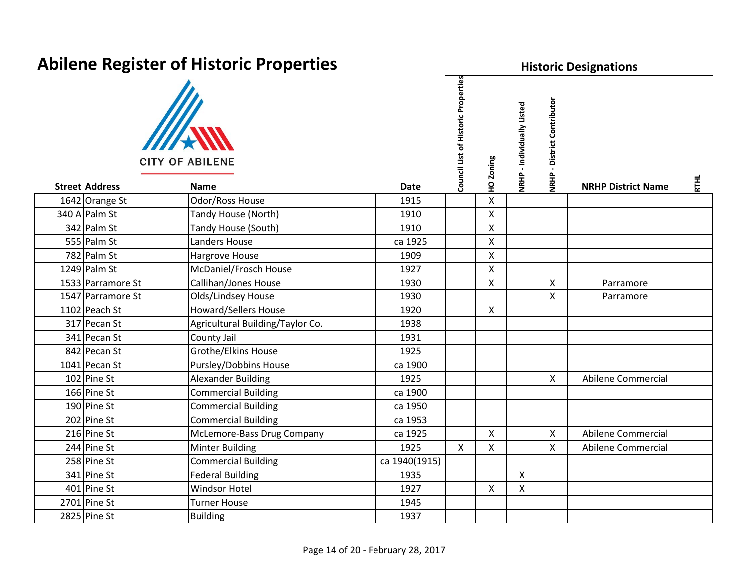| Abilene Register of Historic Properties |                                       |               |                                     |              | <b>Historic Designations</b> |                                       |                           |             |  |  |  |  |
|-----------------------------------------|---------------------------------------|---------------|-------------------------------------|--------------|------------------------------|---------------------------------------|---------------------------|-------------|--|--|--|--|
| <b>Street Address</b>                   | <b>CITY OF ABILENE</b><br><b>Name</b> | <b>Date</b>   | Council List of Historic Properties | HO Zoning    | NRHP - Individually Listed   | - District Contributor<br><b>NRHP</b> | <b>NRHP District Name</b> | <b>RTHL</b> |  |  |  |  |
| 1642 Orange St                          | Odor/Ross House                       | 1915          |                                     | $\mathsf{X}$ |                              |                                       |                           |             |  |  |  |  |
| 340 A Palm St                           | Tandy House (North)                   | 1910          |                                     | X            |                              |                                       |                           |             |  |  |  |  |
| 342 Palm St                             | Tandy House (South)                   | 1910          |                                     | $\mathsf{X}$ |                              |                                       |                           |             |  |  |  |  |
| 555 Palm St                             | Landers House                         | ca 1925       |                                     | $\mathsf{X}$ |                              |                                       |                           |             |  |  |  |  |
| 782 Palm St                             | Hargrove House                        | 1909          |                                     | $\mathsf{X}$ |                              |                                       |                           |             |  |  |  |  |
| 1249 Palm St                            | McDaniel/Frosch House                 | 1927          |                                     | X            |                              |                                       |                           |             |  |  |  |  |
| 1533 Parramore St                       | Callihan/Jones House                  | 1930          |                                     | $\mathsf{X}$ |                              | $\mathsf{X}$                          | Parramore                 |             |  |  |  |  |
| 1547 Parramore St                       | Olds/Lindsey House                    | 1930          |                                     |              |                              | $\mathsf{X}$                          | Parramore                 |             |  |  |  |  |
| 1102 Peach St                           | <b>Howard/Sellers House</b>           | 1920          |                                     | $\mathsf{X}$ |                              |                                       |                           |             |  |  |  |  |
| 317 Pecan St                            | Agricultural Building/Taylor Co.      | 1938          |                                     |              |                              |                                       |                           |             |  |  |  |  |
| 341 Pecan St                            | County Jail                           | 1931          |                                     |              |                              |                                       |                           |             |  |  |  |  |
| 842 Pecan St                            | Grothe/Elkins House                   | 1925          |                                     |              |                              |                                       |                           |             |  |  |  |  |
| 1041 Pecan St                           | Pursley/Dobbins House                 | ca 1900       |                                     |              |                              |                                       |                           |             |  |  |  |  |
| $102$ Pine St                           | <b>Alexander Building</b>             | 1925          |                                     |              |                              | X                                     | Abilene Commercial        |             |  |  |  |  |
| 166 Pine St                             | <b>Commercial Building</b>            | ca 1900       |                                     |              |                              |                                       |                           |             |  |  |  |  |
| 190 Pine St                             | <b>Commercial Building</b>            | ca 1950       |                                     |              |                              |                                       |                           |             |  |  |  |  |
| 202 Pine St                             | <b>Commercial Building</b>            | ca 1953       |                                     |              |                              |                                       |                           |             |  |  |  |  |
| 216 Pine St                             | McLemore-Bass Drug Company            | ca 1925       |                                     | $\mathsf{X}$ |                              | $\mathsf{X}$                          | Abilene Commercial        |             |  |  |  |  |
| 244 Pine St                             | <b>Minter Building</b>                | 1925          | $\mathsf{X}$                        | X            |                              | $\mathsf{X}$                          | <b>Abilene Commercial</b> |             |  |  |  |  |
| 258 Pine St                             | <b>Commercial Building</b>            | ca 1940(1915) |                                     |              |                              |                                       |                           |             |  |  |  |  |
| 341 Pine St                             | <b>Federal Building</b>               | 1935          |                                     |              | $\mathsf{x}$                 |                                       |                           |             |  |  |  |  |
| 401 Pine St                             | <b>Windsor Hotel</b>                  | 1927          |                                     | $\mathsf{X}$ | $\mathsf{X}$                 |                                       |                           |             |  |  |  |  |
| 2701 Pine St                            | <b>Turner House</b>                   | 1945          |                                     |              |                              |                                       |                           |             |  |  |  |  |
| 2825 Pine St                            | <b>Building</b>                       | 1937          |                                     |              |                              |                                       |                           |             |  |  |  |  |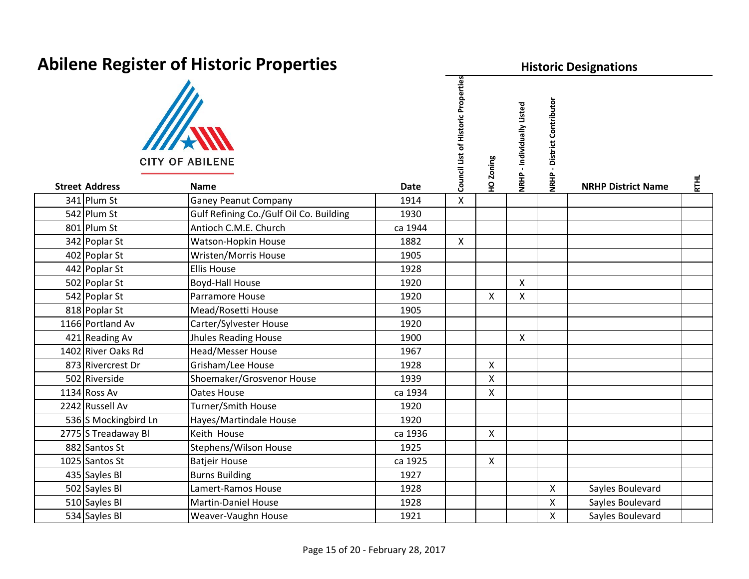| Neuene Register of Instant Properties |                                         |             |                                     |              | <b>TISLUITL DESIGNATIONS</b> |                              |                           |             |  |  |  |  |
|---------------------------------------|-----------------------------------------|-------------|-------------------------------------|--------------|------------------------------|------------------------------|---------------------------|-------------|--|--|--|--|
| <b>Street Address</b>                 | <b>CITY OF ABILENE</b><br><b>Name</b>   | <b>Date</b> | Council List of Historic Properties | 10 Zoning    | NRHP - Individually Listed   | District Contributor<br>NRHP | <b>NRHP District Name</b> | <b>RTHL</b> |  |  |  |  |
| 341 Plum St                           | <b>Ganey Peanut Company</b>             | 1914        | $\mathsf{X}$                        |              |                              |                              |                           |             |  |  |  |  |
| 542 Plum St                           | Gulf Refining Co./Gulf Oil Co. Building | 1930        |                                     |              |                              |                              |                           |             |  |  |  |  |
| 801 Plum St                           | Antioch C.M.E. Church                   | ca 1944     |                                     |              |                              |                              |                           |             |  |  |  |  |
| 342 Poplar St                         | Watson-Hopkin House                     | 1882        | $\mathsf{X}$                        |              |                              |                              |                           |             |  |  |  |  |
| 402 Poplar St                         | <b>Wristen/Morris House</b>             | 1905        |                                     |              |                              |                              |                           |             |  |  |  |  |
| 442 Poplar St                         | <b>Ellis House</b>                      | 1928        |                                     |              |                              |                              |                           |             |  |  |  |  |
| 502 Poplar St                         | <b>Boyd-Hall House</b>                  | 1920        |                                     |              | $\boldsymbol{\mathsf{X}}$    |                              |                           |             |  |  |  |  |
| 542 Poplar St                         | Parramore House                         | 1920        |                                     | X            | $\mathsf{x}$                 |                              |                           |             |  |  |  |  |
| 818 Poplar St                         | Mead/Rosetti House                      | 1905        |                                     |              |                              |                              |                           |             |  |  |  |  |
| 1166 Portland Av                      | Carter/Sylvester House                  | 1920        |                                     |              |                              |                              |                           |             |  |  |  |  |
| 421 Reading Av                        | <b>Jhules Reading House</b>             | 1900        |                                     |              | $\mathsf{X}$                 |                              |                           |             |  |  |  |  |
| 1402 River Oaks Rd                    | <b>Head/Messer House</b>                | 1967        |                                     |              |                              |                              |                           |             |  |  |  |  |
| 873 Rivercrest Dr                     | Grisham/Lee House                       | 1928        |                                     | X            |                              |                              |                           |             |  |  |  |  |
| 502 Riverside                         | Shoemaker/Grosvenor House               | 1939        |                                     | X            |                              |                              |                           |             |  |  |  |  |
| 1134 Ross Av                          | <b>Oates House</b>                      | ca 1934     |                                     | X            |                              |                              |                           |             |  |  |  |  |
| 2242 Russell Av                       | Turner/Smith House                      | 1920        |                                     |              |                              |                              |                           |             |  |  |  |  |
| 536 S Mockingbird Ln                  | Hayes/Martindale House                  | 1920        |                                     |              |                              |                              |                           |             |  |  |  |  |
| 2775 S Treadaway Bl                   | Keith House                             | ca 1936     |                                     | $\mathsf{X}$ |                              |                              |                           |             |  |  |  |  |
| 882 Santos St                         | Stephens/Wilson House                   | 1925        |                                     |              |                              |                              |                           |             |  |  |  |  |
| 1025 Santos St                        | <b>Batjeir House</b>                    | ca 1925     |                                     | $\mathsf{X}$ |                              |                              |                           |             |  |  |  |  |
| 435 Sayles Bl                         | <b>Burns Building</b>                   | 1927        |                                     |              |                              |                              |                           |             |  |  |  |  |
| 502 Sayles Bl                         | Lamert-Ramos House                      | 1928        |                                     |              |                              | X                            | Sayles Boulevard          |             |  |  |  |  |
| 510 Sayles Bl                         | <b>Martin-Daniel House</b>              | 1928        |                                     |              |                              | X                            | Sayles Boulevard          |             |  |  |  |  |
| 534 Sayles Bl                         | Weaver-Vaughn House                     | 1921        |                                     |              |                              | X                            | Sayles Boulevard          |             |  |  |  |  |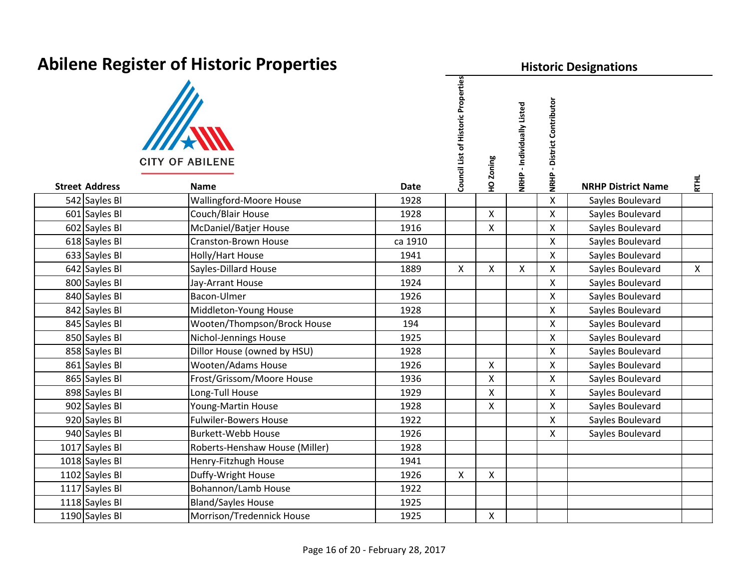| <b>Abilene Register of Historic Properties</b> |                                       |             |                                     |                    | <b>Historic Designations</b> |                                       |                           |              |  |  |  |
|------------------------------------------------|---------------------------------------|-------------|-------------------------------------|--------------------|------------------------------|---------------------------------------|---------------------------|--------------|--|--|--|
| <b>Street Address</b>                          | <b>CITY OF ABILENE</b><br><b>Name</b> | <b>Date</b> | Council List of Historic Properties | HO Zoning          | NRHP - Individually Listed   | - District Contributor<br><b>NRHP</b> | <b>NRHP District Name</b> | <b>RTHL</b>  |  |  |  |
| 542 Sayles Bl                                  | Wallingford-Moore House               | 1928        |                                     |                    |                              | X                                     | Sayles Boulevard          |              |  |  |  |
| 601 Sayles Bl                                  | Couch/Blair House                     | 1928        |                                     | $\mathsf{X}$       |                              | $\mathsf{X}$                          | Sayles Boulevard          |              |  |  |  |
| 602 Sayles Bl                                  | McDaniel/Batjer House                 | 1916        |                                     | $\pmb{\mathsf{X}}$ |                              | $\mathsf{X}$                          | Sayles Boulevard          |              |  |  |  |
| 618 Sayles Bl                                  | <b>Cranston-Brown House</b>           | ca 1910     |                                     |                    |                              | $\mathsf{X}$                          | Sayles Boulevard          |              |  |  |  |
| 633 Sayles Bl                                  | Holly/Hart House                      | 1941        |                                     |                    |                              | $\mathsf{X}$                          | Sayles Boulevard          |              |  |  |  |
| 642 Sayles Bl                                  | Sayles-Dillard House                  | 1889        | $\mathsf{X}$                        | $\mathsf{X}$       | $\boldsymbol{\mathsf{X}}$    | $\mathsf{X}$                          | Sayles Boulevard          | $\mathsf{X}$ |  |  |  |
| 800 Sayles Bl                                  | Jay-Arrant House                      | 1924        |                                     |                    |                              | $\mathsf{X}$                          | Sayles Boulevard          |              |  |  |  |
| 840 Sayles Bl                                  | Bacon-Ulmer                           | 1926        |                                     |                    |                              | $\mathsf{X}$                          | Sayles Boulevard          |              |  |  |  |
| 842 Sayles Bl                                  | Middleton-Young House                 | 1928        |                                     |                    |                              | $\mathsf{X}$                          | Sayles Boulevard          |              |  |  |  |
| 845 Sayles Bl                                  | Wooten/Thompson/Brock House           | 194         |                                     |                    |                              | $\mathsf{X}$                          | Sayles Boulevard          |              |  |  |  |
| 850 Sayles Bl                                  | Nichol-Jennings House                 | 1925        |                                     |                    |                              | $\mathsf{X}$                          | Sayles Boulevard          |              |  |  |  |
| 858 Sayles Bl                                  | Dillor House (owned by HSU)           | 1928        |                                     |                    |                              | $\mathsf{X}$                          | Sayles Boulevard          |              |  |  |  |
| 861 Sayles Bl                                  | <b>Wooten/Adams House</b>             | 1926        |                                     | X                  |                              | $\mathsf{X}$                          | Sayles Boulevard          |              |  |  |  |
| 865 Sayles Bl                                  | Frost/Grissom/Moore House             | 1936        |                                     | X                  |                              | $\mathsf{X}$                          | Sayles Boulevard          |              |  |  |  |
| 898 Sayles Bl                                  | Long-Tull House                       | 1929        |                                     | X                  |                              | $\mathsf{X}$                          | Sayles Boulevard          |              |  |  |  |
| 902 Sayles Bl                                  | Young-Martin House                    | 1928        |                                     | X                  |                              | $\mathsf{X}$                          | Sayles Boulevard          |              |  |  |  |
| 920 Sayles Bl                                  | <b>Fulwiler-Bowers House</b>          | 1922        |                                     |                    |                              | $\mathsf{X}$                          | Sayles Boulevard          |              |  |  |  |
| 940 Sayles Bl                                  | <b>Burkett-Webb House</b>             | 1926        |                                     |                    |                              | $\mathsf{X}$                          | Sayles Boulevard          |              |  |  |  |
| 1017 Sayles Bl                                 | Roberts-Henshaw House (Miller)        | 1928        |                                     |                    |                              |                                       |                           |              |  |  |  |
| 1018 Sayles Bl                                 | Henry-Fitzhugh House                  | 1941        |                                     |                    |                              |                                       |                           |              |  |  |  |
| 1102 Sayles Bl                                 | Duffy-Wright House                    | 1926        | $\mathsf{X}$                        | X                  |                              |                                       |                           |              |  |  |  |
| 1117 Sayles Bl                                 | Bohannon/Lamb House                   | 1922        |                                     |                    |                              |                                       |                           |              |  |  |  |
| 1118 Sayles Bl                                 | <b>Bland/Sayles House</b>             | 1925        |                                     |                    |                              |                                       |                           |              |  |  |  |
| 1190 Sayles Bl                                 | Morrison/Tredennick House             | 1925        |                                     | $\mathsf{X}$       |                              |                                       |                           |              |  |  |  |

#### Page 16 of 20 ‐ June 10, 2021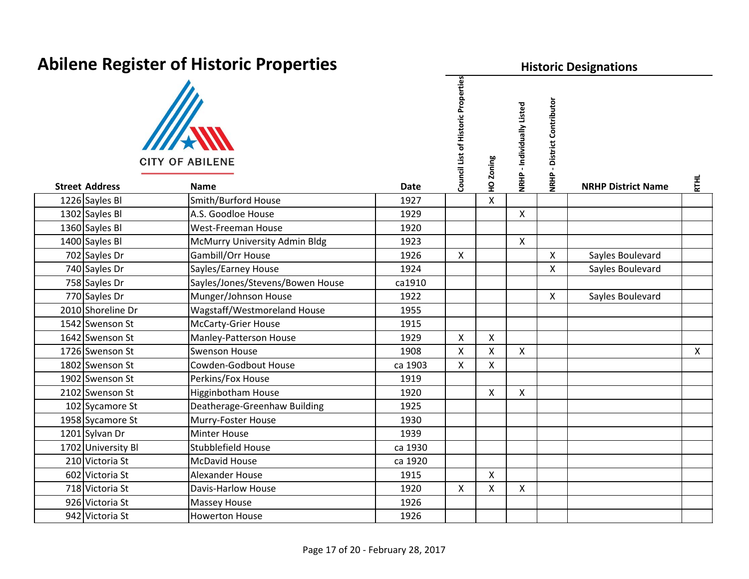| Abilene Register of Historic Properties |                       |                                       |             | <b>Historic Designations</b>        |              |                            |                                       |                           |              |  |
|-----------------------------------------|-----------------------|---------------------------------------|-------------|-------------------------------------|--------------|----------------------------|---------------------------------------|---------------------------|--------------|--|
|                                         | <b>Street Address</b> | <b>CITY OF ABILENE</b><br><b>Name</b> | <b>Date</b> | Council List of Historic Properties | HO Zoning    | NRHP - Individually Listed | - District Contributor<br><b>NRHP</b> | <b>NRHP District Name</b> | <b>RTHL</b>  |  |
|                                         | 1226 Sayles Bl        | Smith/Burford House                   | 1927        |                                     | $\mathsf{X}$ |                            |                                       |                           |              |  |
|                                         | 1302 Sayles Bl        | A.S. Goodloe House                    | 1929        |                                     |              | $\mathsf{X}$               |                                       |                           |              |  |
|                                         | 1360 Sayles Bl        | <b>West-Freeman House</b>             | 1920        |                                     |              |                            |                                       |                           |              |  |
|                                         | 1400 Sayles Bl        | McMurry University Admin Bldg         | 1923        |                                     |              | $\pmb{\mathsf{X}}$         |                                       |                           |              |  |
|                                         | 702 Sayles Dr         | Gambill/Orr House                     | 1926        | $\mathsf{X}$                        |              |                            | X                                     | Sayles Boulevard          |              |  |
|                                         | 740 Sayles Dr         | Sayles/Earney House                   | 1924        |                                     |              |                            | $\mathsf{X}$                          | Sayles Boulevard          |              |  |
|                                         | 758 Sayles Dr         | Sayles/Jones/Stevens/Bowen House      | ca1910      |                                     |              |                            |                                       |                           |              |  |
|                                         | 770 Sayles Dr         | Munger/Johnson House                  | 1922        |                                     |              |                            | X                                     | Sayles Boulevard          |              |  |
|                                         | 2010 Shoreline Dr     | Wagstaff/Westmoreland House           | 1955        |                                     |              |                            |                                       |                           |              |  |
|                                         | 1542 Swenson St       | <b>McCarty-Grier House</b>            | 1915        |                                     |              |                            |                                       |                           |              |  |
|                                         | 1642 Swenson St       | Manley-Patterson House                | 1929        | $\mathsf{X}$                        | $\mathsf{X}$ |                            |                                       |                           |              |  |
|                                         | 1726 Swenson St       | <b>Swenson House</b>                  | 1908        | $\mathsf{X}$                        | $\mathsf{X}$ | $\boldsymbol{\mathsf{X}}$  |                                       |                           | $\mathsf{X}$ |  |
|                                         | 1802 Swenson St       | Cowden-Godbout House                  | ca 1903     | $\mathsf{X}$                        | $\mathsf{X}$ |                            |                                       |                           |              |  |
|                                         | 1902 Swenson St       | Perkins/Fox House                     | 1919        |                                     |              |                            |                                       |                           |              |  |
|                                         | 2102 Swenson St       | <b>Higginbotham House</b>             | 1920        |                                     | $\mathsf{X}$ | $\mathsf{X}$               |                                       |                           |              |  |
|                                         | 102 Sycamore St       | Deatherage-Greenhaw Building          | 1925        |                                     |              |                            |                                       |                           |              |  |
|                                         | 1958 Sycamore St      | Murry-Foster House                    | 1930        |                                     |              |                            |                                       |                           |              |  |
|                                         | 1201 Sylvan Dr        | Minter House                          | 1939        |                                     |              |                            |                                       |                           |              |  |
|                                         | 1702 University BI    | <b>Stubblefield House</b>             | ca 1930     |                                     |              |                            |                                       |                           |              |  |
|                                         | 210 Victoria St       | McDavid House                         | ca 1920     |                                     |              |                            |                                       |                           |              |  |
|                                         | 602 Victoria St       | Alexander House                       | 1915        |                                     | $\mathsf{X}$ |                            |                                       |                           |              |  |
|                                         | 718 Victoria St       | Davis-Harlow House                    | 1920        | X                                   | $\mathsf{X}$ | $\boldsymbol{\mathsf{X}}$  |                                       |                           |              |  |
|                                         | 926 Victoria St       | Massey House                          | 1926        |                                     |              |                            |                                       |                           |              |  |
|                                         | 942 Victoria St       | <b>Howerton House</b>                 | 1926        |                                     |              |                            |                                       |                           |              |  |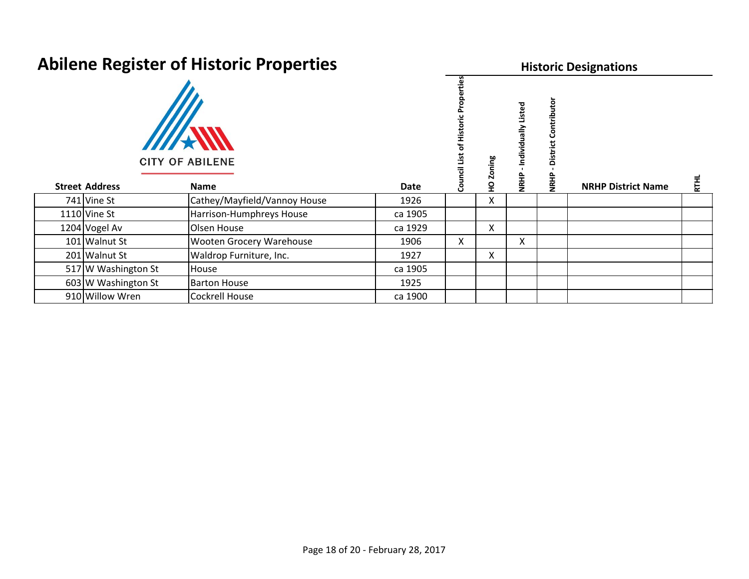| ADHERE REGISTER OF HISTORIC PROPERTIES |                                |             |                | <b>Historic Designations</b> |                                        |                      |                           |             |  |  |
|----------------------------------------|--------------------------------|-------------|----------------|------------------------------|----------------------------------------|----------------------|---------------------------|-------------|--|--|
| <b>Street Address</b>                  | <b>CITY OF ABILENE</b><br>Name | <b>Date</b> | ပ္ၿ<br>5<br>පි |                              | Listed<br>$\frac{1}{6}$<br><b>NRHP</b> | g<br>ã<br><b>THR</b> | <b>NRHP District Name</b> | <b>RTHL</b> |  |  |
| 741 Vine St                            | Cathey/Mayfield/Vannoy House   | 1926        |                | X                            |                                        |                      |                           |             |  |  |
| 1110 Vine St                           | Harrison-Humphreys House       | ca 1905     |                |                              |                                        |                      |                           |             |  |  |
| 1204 Vogel Av                          | Olsen House                    | ca 1929     |                | Χ                            |                                        |                      |                           |             |  |  |
| 101 Walnut St                          | Wooten Grocery Warehouse       | 1906        | X.             |                              | X                                      |                      |                           |             |  |  |
| 201 Walnut St                          | Waldrop Furniture, Inc.        | 1927        |                | x                            |                                        |                      |                           |             |  |  |
| 517 W Washington St                    | House                          | ca 1905     |                |                              |                                        |                      |                           |             |  |  |
| 603 W Washington St                    | <b>Barton House</b>            | 1925        |                |                              |                                        |                      |                           |             |  |  |
| 910 Willow Wren                        | <b>Cockrell House</b>          | ca 1900     |                |                              |                                        |                      |                           |             |  |  |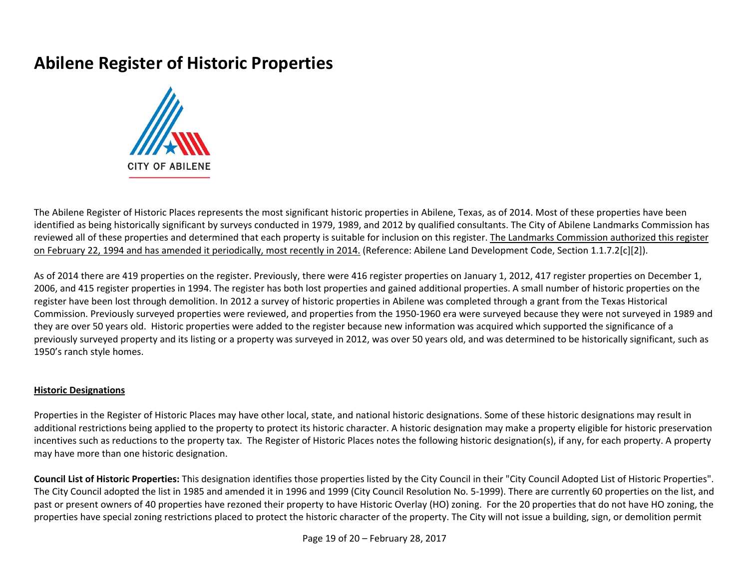

The Abilene Register of Historic Places represents the most significant historic properties in Abilene, Texas, as of 2014. Most of these properties have been identified as being historically significant by surveys conducted in 1979, 1989, and 2012 by qualified consultants. The City of Abilene Landmarks Commission has reviewed all of these properties and determined that each property is suitable for inclusion on this register. The Landmarks Commission authorized this register on February 22, 1994 and has amended it periodically, most recently in 2014. (Reference: Abilene Land Development Code, Section 1.1.7.2[c][2]).

As of 2014 there are 419 properties on the register. Previously, there were 416 register properties on January 1, 2012, 417 register properties on December 1, 2006, and 415 register properties in 1994. The register has both lost properties and gained additional properties. A small number of historic properties on the register have been lost through demolition. In 2012 a survey of historic properties in Abilene was completed through a grant from the Texas Historical Commission. Previously surveyed properties were reviewed, and properties from the 1950‐1960 era were surveyed because they were not surveyed in 1989 and they are over 50 years old. Historic properties were added to the register because new information was acquired which supported the significance of a previously surveyed property and its listing or a property was surveyed in 2012, was over 50 years old, and was determined to be historically significant, such as 1950's ranch style homes.

#### **Historic Designations**

Properties in the Register of Historic Places may have other local, state, and national historic designations. Some of these historic designations may result in additional restrictions being applied to the property to protect its historic character. A historic designation may make a property eligible for historic preservation incentives such as reductions to the property tax. The Register of Historic Places notes the following historic designation(s), if any, for each property. A property may have more than one historic designation.

**Council List of Historic Properties:** This designation identifies those properties listed by the City Council in their "City Council Adopted List of Historic Properties". The City Council adopted the list in 1985 and amended it in 1996 and 1999 (City Council Resolution No. 5‐1999). There are currently 60 properties on the list, and past or present owners of 40 properties have rezoned their property to have Historic Overlay (HO) zoning. For the 20 properties that do not have HO zoning, the properties have special zoning restrictions placed to protect the historic character of the property. The City will not issue a building, sign, or demolition permit

Page 19 of 20 – June 10, 2021